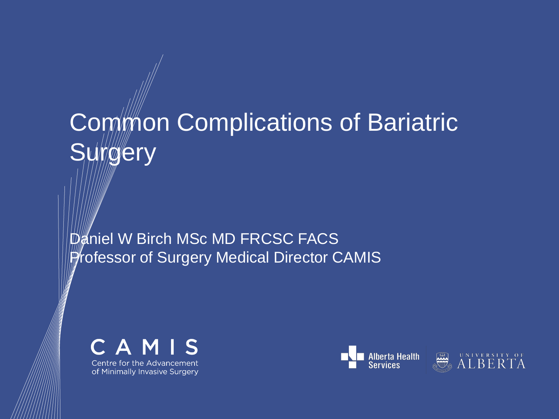# Common Complications of Bariatric **Surgery**

Daniel W Birch MSc MD FRCSC FACS **Professor of Surgery Medical Director CAMIS** 



of Minimally Invasive Surgery



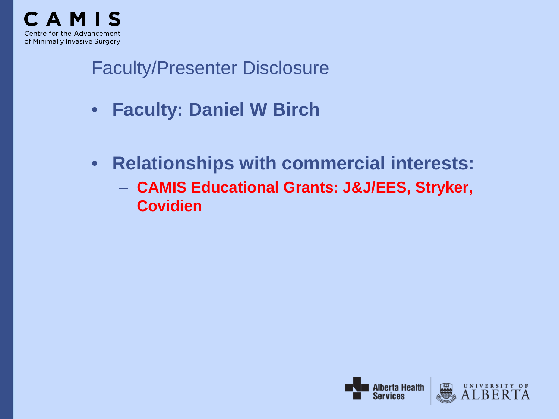

# Faculty/Presenter Disclosure

- **Faculty: Daniel W Birch**
- **Relationships with commercial interests:**
	- **CAMIS Educational Grants: J&J/EES, Stryker, Covidien**



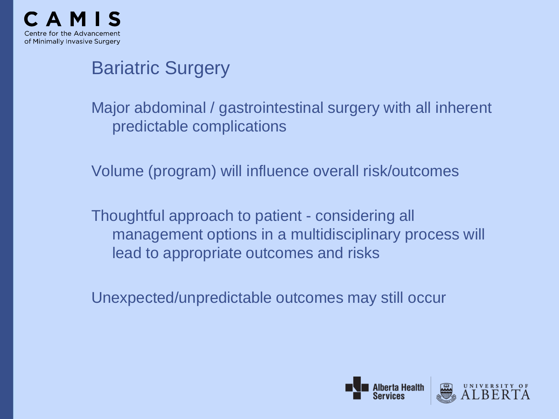

# Bariatric Surgery

Major abdominal / gastrointestinal surgery with all inherent predictable complications

Volume (program) will influence overall risk/outcomes

Thoughtful approach to patient - considering all management options in a multidisciplinary process will lead to appropriate outcomes and risks

Unexpected/unpredictable outcomes may still occur



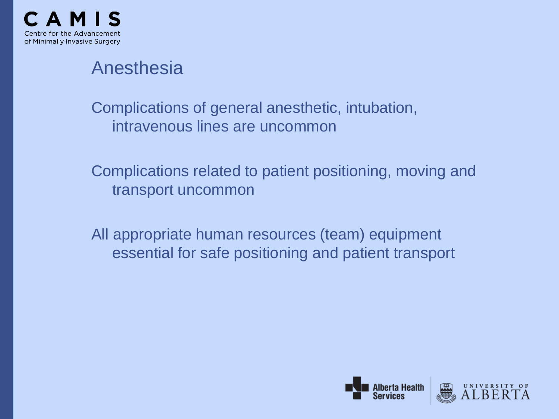

# Anesthesia

Complications of general anesthetic, intubation, intravenous lines are uncommon

Complications related to patient positioning, moving and transport uncommon

All appropriate human resources (team) equipment essential for safe positioning and patient transport



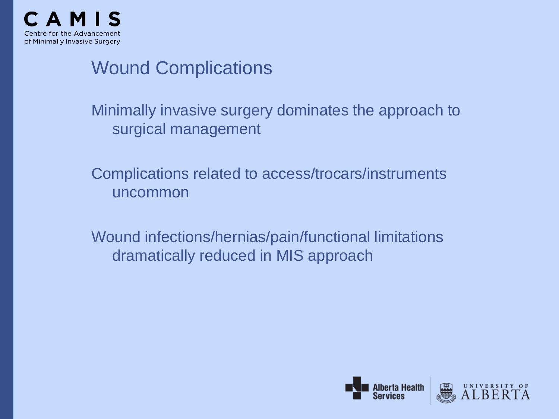

# Wound Complications

Minimally invasive surgery dominates the approach to surgical management

Complications related to access/trocars/instruments uncommon

Wound infections/hernias/pain/functional limitations dramatically reduced in MIS approach



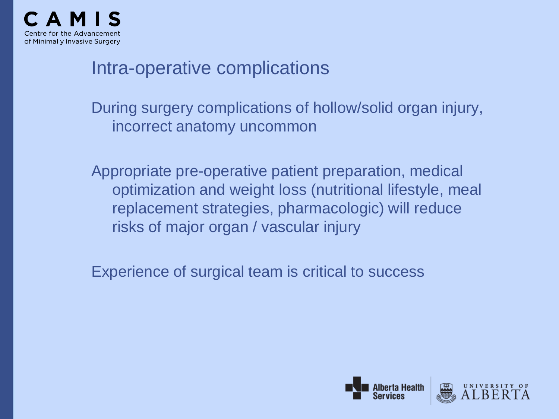

### Intra-operative complications

During surgery complications of hollow/solid organ injury, incorrect anatomy uncommon

Appropriate pre-operative patient preparation, medical optimization and weight loss (nutritional lifestyle, meal replacement strategies, pharmacologic) will reduce risks of major organ / vascular injury

Experience of surgical team is critical to success



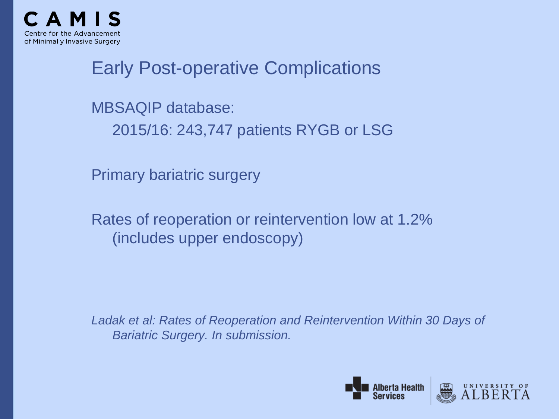

# Early Post-operative Complications

MBSAQIP database:

2015/16: 243,747 patients RYGB or LSG

Primary bariatric surgery

Rates of reoperation or reintervention low at 1.2% (includes upper endoscopy)

*Ladak et al: Rates of Reoperation and Reintervention Within 30 Days of Bariatric Surgery. In submission.*



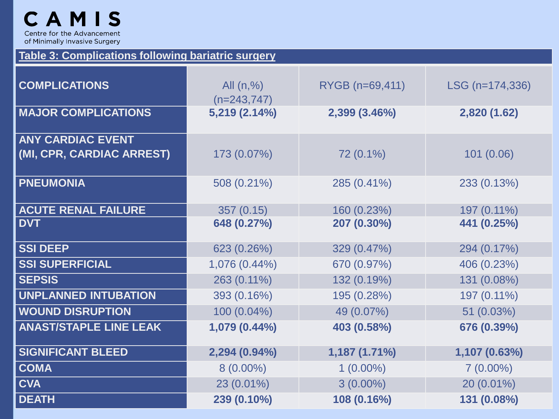#### **Table 3: Complications following bariatric surgery**

| <b>COMPLICATIONS</b>                                  | All $(n,%)$<br>$(n=243,747)$ | RYGB (n=69,411) | $LSG (n=174, 336)$ |
|-------------------------------------------------------|------------------------------|-----------------|--------------------|
| <b>MAJOR COMPLICATIONS</b>                            | 5,219 (2.14%)                | 2,399 (3.46%)   | 2,820 (1.62)       |
| <b>ANY CARDIAC EVENT</b><br>(MI, CPR, CARDIAC ARREST) | 173 (0.07%)                  | 72 (0.1%)       | 101(0.06)          |
| <b>PNEUMONIA</b>                                      | 508 (0.21%)                  | 285 (0.41%)     | 233 (0.13%)        |
| <b>ACUTE RENAL FAILURE</b>                            | 357(0.15)                    | 160 (0.23%)     | 197 (0.11%)        |
| <b>DVT</b>                                            | 648 (0.27%)                  | 207 (0.30%)     | 441 (0.25%)        |
| <b>SSI DEEP</b>                                       | 623 (0.26%)                  | 329 (0.47%)     | 294 (0.17%)        |
| <b>SSI SUPERFICIAL</b>                                | 1,076 (0.44%)                | 670 (0.97%)     | 406 (0.23%)        |
| <b>SEPSIS</b>                                         | 263 (0.11%)                  | 132 (0.19%)     | 131 (0.08%)        |
| <b>UNPLANNED INTUBATION</b>                           | 393 (0.16%)                  | 195 (0.28%)     | 197 (0.11%)        |
| <b>WOUND DISRUPTION</b>                               | 100 (0.04%)                  | 49 (0.07%)      | 51 (0.03%)         |
| <b>ANAST/STAPLE LINE LEAK</b>                         | 1,079 (0.44%)                | 403 (0.58%)     | 676 (0.39%)        |
| <b>SIGNIFICANT BLEED</b>                              | $2,294(0.94\%)$              | 1,187 (1.71%)   | 1,107 (0.63%)      |
| <b>COMA</b>                                           | $8(0.00\%)$                  | $1(0.00\%)$     | $7(0.00\%)$        |
| <b>CVA</b>                                            | 23 (0.01%)                   | $3(0.00\%)$     | 20 (0.01%)         |
| <b>DEATH</b>                                          | 239 (0.10%)                  | 108 (0.16%)     | 131 (0.08%)        |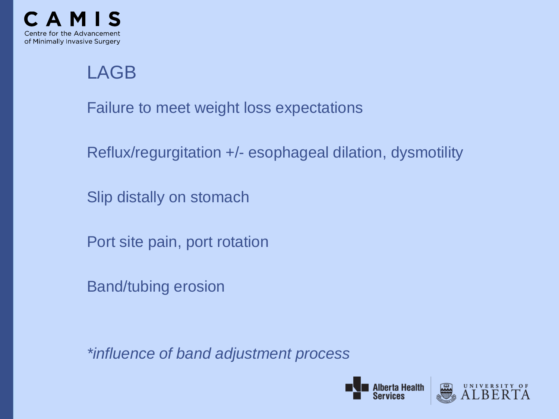

# LAGB

Failure to meet weight loss expectations

Reflux/regurgitation +/- esophageal dilation, dysmotility

Slip distally on stomach

Port site pain, port rotation

Band/tubing erosion

*\*influence of band adjustment process*



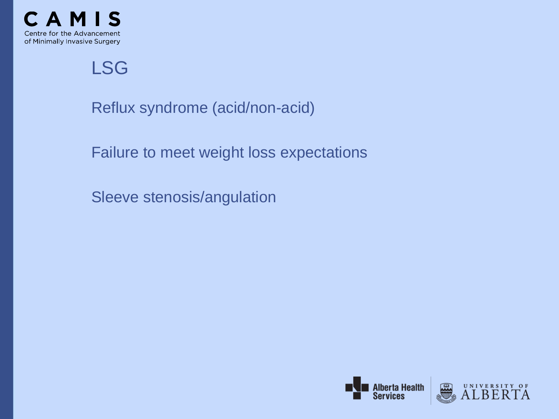

LSG

Reflux syndrome (acid/non-acid)

Failure to meet weight loss expectations

Sleeve stenosis/angulation